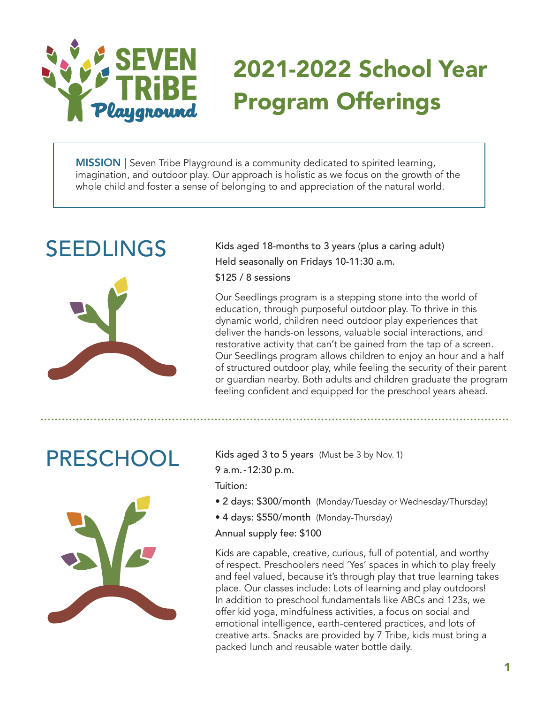

## 2021-2022 School Year Program Offerings

MISSION | Seven Tribe Playground is a community dedicated to spirited learning, imagination, and outdoor play. Our approach is holistic as we focus on the growth of the whole child and foster a sense of belonging to and appreciation of the natural world.



Kids aged 18-months to 3 years (plus a caring adult) Held seasonally on Fridays 10-11:30 a.m. \$125 / 8 sessions

Our Seedlings program is a stepping stone into the world of education, through purposeful outdoor play. To thrive in this dynamic world, children need outdoor play experiences that deliver the hands-on lessons, valuable social interactions, and restorative activity that can't be gained from the tap of a screen. Our Seedlings program allows children to enjoy an hour and a half of structured outdoor play, while feeling the security of their parent or guardian nearby. Both adults and children graduate the program feeling confident and equipped for the preschool years ahead.



PRESCHOOL Kids aged 3 to 5 years (Must be 3 by Nov. 1) 9 a.m.-12:30 p.m.

Tuition:

- 2 days: \$300/month (Monday/Tuesday or Wednesday/Thursday)
- 4 days: \$550/month (Monday-Thursday)

Annual supply fee: \$100

Kids are capable, creative, curious, full of potential, and worthy of respect. Preschoolers need 'Yes' spaces in which to play freely and feel valued, because it's through play that true learning takes place. Our classes include: Lots of learning and play outdoors! In addition to preschool fundamentals like ABCs and 123s, we offer kid yoga, mindfulness activities, a focus on social and emotional intelligence, earth-centered practices, and lots of creative arts. Snacks are provided by 7 Tribe, kids must bring a packed lunch and reusable water bottle daily.